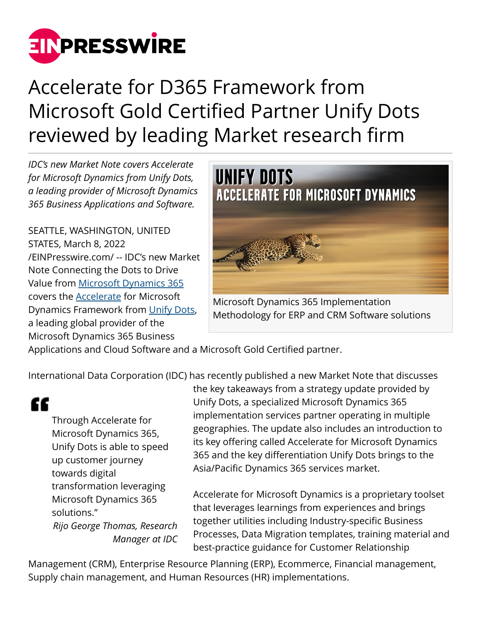

## Accelerate for D365 Framework from Microsoft Gold Certified Partner Unify Dots reviewed by leading Market research firm

*IDC's new Market Note covers Accelerate for Microsoft Dynamics from Unify Dots, a leading provider of Microsoft Dynamics 365 Business Applications and Software.*

SEATTLE, WASHINGTON, UNITED STATES, March 8, 2022 [/EINPresswire.com/](http://www.einpresswire.com) -- IDC's new Market Note Connecting the Dots to Drive Value from [Microsoft Dynamics 365](https://unifydots.com/erp) covers the [Accelerate](https://unifydots.com/d365-methodology) for Microsoft Dynamics Framework from [Unify Dots](https://unifydots.com/), a leading global provider of the Microsoft Dynamics 365 Business



Microsoft Dynamics 365 Implementation Methodology for ERP and CRM Software solutions

Applications and Cloud Software and a Microsoft Gold Certified partner.

International Data Corporation (IDC) has recently published a new Market Note that discusses

"

Through Accelerate for Microsoft Dynamics 365, Unify Dots is able to speed up customer journey towards digital transformation leveraging Microsoft Dynamics 365 solutions." *Rijo George Thomas, Research Manager at IDC* the key takeaways from a strategy update provided by Unify Dots, a specialized Microsoft Dynamics 365 implementation services partner operating in multiple geographies. The update also includes an introduction to its key offering called Accelerate for Microsoft Dynamics 365 and the key differentiation Unify Dots brings to the Asia/Pacific Dynamics 365 services market.

Accelerate for Microsoft Dynamics is a proprietary toolset that leverages learnings from experiences and brings together utilities including Industry-specific Business Processes, Data Migration templates, training material and best-practice guidance for Customer Relationship

Management (CRM), Enterprise Resource Planning (ERP), Ecommerce, Financial management, Supply chain management, and Human Resources (HR) implementations.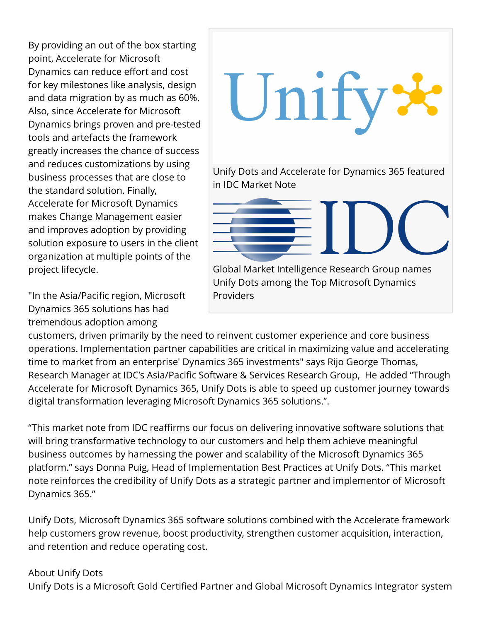By providing an out of the box starting point, Accelerate for Microsoft Dynamics can reduce effort and cost for key milestones like analysis, design and data migration by as much as 60%. Also, since Accelerate for Microsoft Dynamics brings proven and pre-tested tools and artefacts the framework greatly increases the chance of success and reduces customizations by using business processes that are close to the standard solution. Finally, Accelerate for Microsoft Dynamics makes Change Management easier and improves adoption by providing solution exposure to users in the client organization at multiple points of the project lifecycle.

"In the Asia/Pacific region, Microsoft Dynamics 365 solutions has had tremendous adoption among



customers, driven primarily by the need to reinvent customer experience and core business operations. Implementation partner capabilities are critical in maximizing value and accelerating time to market from an enterprise' Dynamics 365 investments" says Rijo George Thomas, Research Manager at IDC's Asia/Pacific Software & Services Research Group, He added "Through Accelerate for Microsoft Dynamics 365, Unify Dots is able to speed up customer journey towards digital transformation leveraging Microsoft Dynamics 365 solutions.".

"This market note from IDC reaffirms our focus on delivering innovative software solutions that will bring transformative technology to our customers and help them achieve meaningful business outcomes by harnessing the power and scalability of the Microsoft Dynamics 365 platform." says Donna Puig, Head of Implementation Best Practices at Unify Dots. "This market note reinforces the credibility of Unify Dots as a strategic partner and implementor of Microsoft Dynamics 365."

Unify Dots, Microsoft Dynamics 365 software solutions combined with the Accelerate framework help customers grow revenue, boost productivity, strengthen customer acquisition, interaction, and retention and reduce operating cost.

## About Unify Dots

Unify Dots is a Microsoft Gold Certified Partner and Global Microsoft Dynamics Integrator system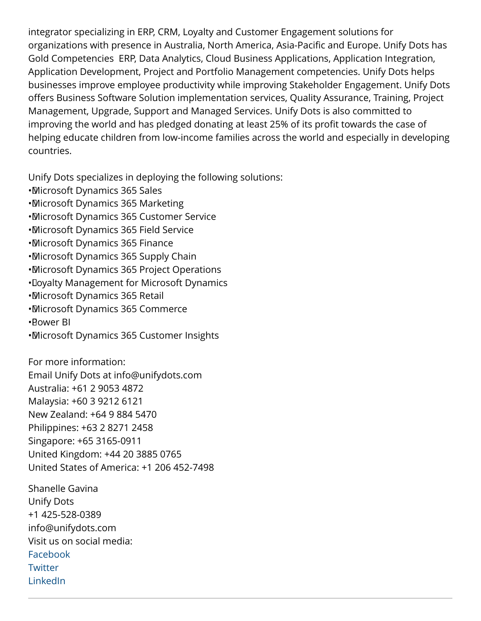integrator specializing in ERP, CRM, Loyalty and Customer Engagement solutions for organizations with presence in Australia, North America, Asia-Pacific and Europe. Unify Dots has Gold Competencies ERP, Data Analytics, Cloud Business Applications, Application Integration, Application Development, Project and Portfolio Management competencies. Unify Dots helps businesses improve employee productivity while improving Stakeholder Engagement. Unify Dots offers Business Software Solution implementation services, Quality Assurance, Training, Project Management, Upgrade, Support and Managed Services. Unify Dots is also committed to improving the world and has pledged donating at least 25% of its profit towards the case of helping educate children from low-income families across the world and especially in developing countries.

Unify Dots specializes in deploying the following solutions:

- • Microsoft Dynamics 365 Sales
- • Microsoft Dynamics 365 Marketing
- • Microsoft Dynamics 365 Customer Service
- • Microsoft Dynamics 365 Field Service
- • Microsoft Dynamics 365 Finance
- • Microsoft Dynamics 365 Supply Chain
- • Microsoft Dynamics 365 Project Operations
- • Loyalty Management for Microsoft Dynamics
- • Microsoft Dynamics 365 Retail
- • Microsoft Dynamics 365 Commerce
- • Power BI
- • Microsoft Dynamics 365 Customer Insights

For more information:

Email Unify Dots at info@unifydots.com

Australia: +61 2 9053 4872

Malaysia: +60 3 9212 6121

New Zealand: +64 9 884 5470

Philippines: +63 2 8271 2458

Singapore: +65 3165-0911

United Kingdom: +44 20 3885 0765

United States of America: +1 206 452-7498

Shanelle Gavina Unify Dots +1 425-528-0389 info@unifydots.com Visit us on social media: [Facebook](https://facebook.com/unifydot) **[Twitter](https://twitter.com/unifydots)** [LinkedIn](https://www.linkedin.com/company/unifydots)